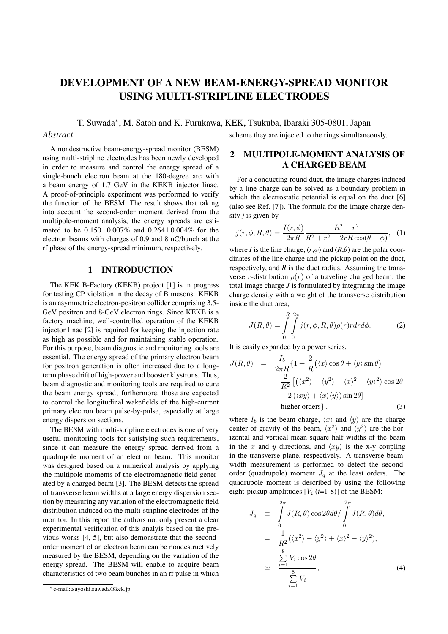# **DEVELOPMENT OF A NEW BEAM-ENERGY-SPREAD MONITOR USING MULTI-STRIPLINE ELECTRODES**

T. Suwada<sup>∗</sup>, M. Satoh and K. Furukawa, KEK, Tsukuba, Ibaraki 305-0801, Japan

#### *Abstract*

A nondestructive beam-energy-spread monitor (BESM) using multi-stripline electrodes has been newly developed in order to measure and control the energy spread of a single-bunch electron beam at the 180-degree arc with a beam energy of 1.7 GeV in the KEKB injector linac. A proof-of-principle experiment was performed to verify the function of the BESM. The result shows that taking into account the second-order moment derived from the multipole-moment analysis, the energy spreads are estimated to be 0.150±0.007% and 0.264±0.004% for the electron beams with charges of 0.9 and 8 nC/bunch at the rf phase of the energy-spread minimum, respectively.

## **1 INTRODUCTION**

The KEK B-Factory (KEKB) project [1] is in progress for testing CP violation in the decay of B mesons. KEKB is an asymmetric electron-positron collider comprising 3.5- GeV positron and 8-GeV electron rings. Since KEKB is a factory machine, well-controlled operation of the KEKB injector linac [2] is required for keeping the injection rate as high as possible and for maintaining stable operation. For this purpose, beam diagnostic and monitoring tools are essential. The energy spread of the primary electron beam for positron generation is often increased due to a longterm phase drift of high-power and booster klystrons. Thus, beam diagnostic and monitoring tools are required to cure the beam energy spread; furthermore, those are expected to control the longitudinal wakefields of the high-current primary electron beam pulse-by-pulse, especially at large energy dispersion sections.

The BESM with multi-stripline electrodes is one of very useful monitoring tools for satisfying such requirements, since it can measure the energy spread derived from a quadrupole moment of an electron beam. This monitor was designed based on a numerical analysis by applying the multipole moments of the electromagnetic field generated by a charged beam [3]. The BESM detects the spread of transverse beam widths at a large energy dispersion section by measuring any variation of the electromagnetic field distribution induced on the multi-stripline electrodes of the monitor. In this report the authors not only present a clear experimental verification of this analyis based on the previous works [4, 5], but also demonstrate that the secondorder moment of an electron beam can be nondestructively measured by the BESM, depending on the variation of the energy spread. The BESM will enable to acquire beam characteristics of two beam bunches in an rf pulse in which scheme they are injected to the rings simultaneously.

## **2 MULTIPOLE-MOMENT ANALYSIS OF A CHARGED BEAM**

For a conducting round duct, the image charges induced by a line charge can be solved as a boundary problem in which the electrostatic potential is equal on the duct [6] (also see Ref. [7]). The formula for the image charge density *j* is given by

$$
j(r, \phi, R, \theta) = \frac{I(r, \phi)}{2\pi R} \frac{R^2 - r^2}{R^2 + r^2 - 2rR\cos(\theta - \phi)}, \tag{1}
$$

where *I* is the line charge,  $(r, \phi)$  and  $(R, \theta)$  are the polar coordinates of the line charge and the pickup point on the duct, respectively, and *R* is the duct radius. Assuming the transverse *r*-distribution  $\rho(r)$  of a traveling charged beam, the total image charge *J* is formulated by integrating the image charge density with a weight of the transverse distribution inside the duct area,

$$
J(R,\theta) = \int_{0}^{R} \int_{0}^{2\pi} j(r,\phi,R,\theta)\rho(r)r dr d\phi.
$$
 (2)

It is easily expanded by a power series,

$$
J(R, \theta) = \frac{I_b}{2\pi R} \{1 + \frac{2}{R} (\langle x \rangle \cos \theta + \langle y \rangle \sin \theta) + \frac{2}{R^2} [(\langle x^2 \rangle - \langle y^2 \rangle + \langle x \rangle^2 - \langle y \rangle^2) \cos 2\theta + 2 (\langle xy \rangle + \langle x \rangle \langle y \rangle) \sin 2\theta] + \text{higher orders} \},
$$
\n(3)

where  $I_b$  is the beam charge,  $\langle x \rangle$  and  $\langle y \rangle$  are the charge center of gravity of the beam,  $\langle x^2 \rangle$  and  $\langle y^2 \rangle$  are the horizontal and vertical mean square half widths of the beam in the x and y directions, and  $\langle xy \rangle$  is the x-y coupling in the transverse plane, respectively. A transverse beamwidth measurement is performed to detect the secondorder (quadrupole) moment  $J_q$  at the least orders. The quadrupole moment is described by using the following eight-pickup amplitudes  $[V_i (i=1-8)]$  of the BESM:

$$
J_q \equiv \int_0^{2\pi} J(R,\theta) \cos 2\theta d\theta / \int_0^{2\pi} J(R,\theta) d\theta,
$$
  

$$
= \frac{1}{R^2} (\langle x^2 \rangle - \langle y^2 \rangle + \langle x \rangle^2 - \langle y \rangle^2),
$$
  

$$
\approx \frac{\sum_{i=1}^8 V_i \cos 2\theta}{\sum_{i=1}^8 V_i},
$$
 (4)

<sup>∗</sup> e-mail:tsuyoshi.suwada@kek.jp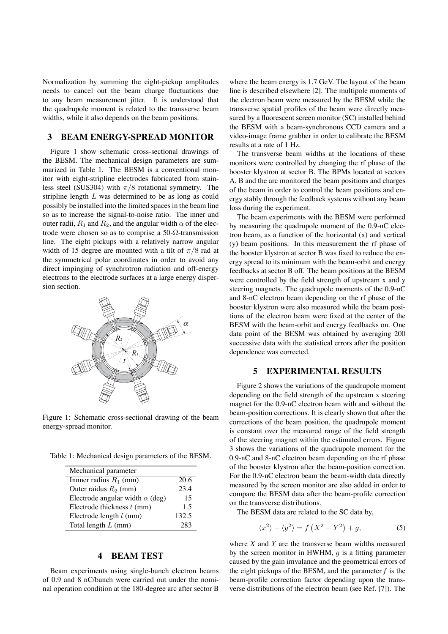Normalization by summing the eight-pickup amplitudes needs to cancel out the beam charge fluctuations due to any beam measurement jitter. It is understood that the quadrupole moment is related to the transverse beam widths, while it also depends on the beam positions.

#### **3 BEAM ENERGY-SPREAD MONITOR**

Figure 1 show schematic cross-sectional drawings of the BESM. The mechanical design parameters are summarized in Table 1. The BESM is a conventional monitor with eight-stripline electrodes fabricated from stainless steel (SUS304) with *π/*8 rotational symmetry. The stripline length *L* was determined to be as long as could possibly be installed into the limited spaces in the beam line so as to increase the signal-to-noise ratio. The inner and outer radii,  $R_1$  and  $R_2$ , and the angular width  $\alpha$  of the electrode were chosen so as to comprise a 50- $\Omega$ -transmission line. The eight pickups with a relatively narrow angular width of 15 degree are mounted with a tilt of *π/*8 rad at the symmetrical polar coordinates in order to avoid any direct impinging of synchrotron radiation and off-energy electrons to the electrode surfaces at a large energy dispersion section.



Figure 1: Schematic cross-sectional drawing of the beam energy-spread monitor.

Table 1: Mechanical design parameters of the BESM.

| Mechanical parameter                   |       |
|----------------------------------------|-------|
| Innner radius $R_1$ (mm)               | 20.6  |
| Outer raidus $R_2$ (mm)                | 23.4  |
| Electrode angular width $\alpha$ (deg) | 15    |
| Electrode thickness $t$ (mm)           | 1.5   |
| Electrode length $l$ (mm)              | 132.5 |
| Total length $L$ (mm)                  | 283   |

## **4 BEAM TEST**

Beam experiments using single-bunch electron beams of 0.9 and 8 nC/bunch were carried out under the nominal operation condition at the 180-degree arc after sector B

where the beam energy is 1.7 GeV. The layout of the beam line is described elsewhere [2]. The multipole moments of the electron beam were measured by the BESM while the transverse spatial profiles of the beam were directly measured by a fluorescent screen monitor (SC) installed behind the BESM with a beam-synchronous CCD camera and a video-image frame grabber in order to calibrate the BESM results at a rate of 1 Hz.

The transverse beam widths at the locations of these monitors were controlled by changing the rf phase of the booster klystron at sector B. The BPMs located at sectors A, B and the arc monitored the beam positions and charges of the beam in order to control the beam positions and energy stably through the feedback systems without any beam loss during the experiment.

The beam experiments with the BESM were performed by measuring the quadrupole moment of the 0.9-nC electron beam, as a function of the horizontal  $(x)$  and vertical (y) beam positions. In this measurement the rf phase of the booster klystron at sector B was fixed to reduce the energy spread to its minimum with the beam-orbit and energy feedbacks at sector B off. The beam positions at the BESM were controlled by the field strength of upstream x and y steering magnets. The quadrupole moments of the 0.9-nC and 8-nC electron beam depending on the rf phase of the booster klystron were also measured while the beam positions of the electron beam were fixed at the center of the BESM with the beam-orbit and energy feedbacks on. One data point of the BESM was obtained by averaging 200 successive data with the statistical errors after the position dependence was corrected.

# **5 EXPERIMENTAL RESULTS**

Figure 2 shows the variations of the quadrupole moment depending on the field strength of the upstream x steering magnet for the 0.9-nC electron beam with and without the beam-position corrections. It is clearly shown that after the corrections of the beam position, the quadrupole moment is constant over the measured range of the field strength of the steering magnet within the estimated errors. Figure 3 shows the variations of the quadrupole moment for the 0.9-nC and 8-nC electron beam depending on the rf phase of the booster klystron after the beam-position correction. For the 0.9-nC electron beam the beam-width data directly measured by the screen monitor are also added in order to compare the BESM data after the beam-profile correction on the transverse distributions.

The BESM data are related to the SC data by,

$$
\langle x^2 \rangle - \langle y^2 \rangle = f\left(X^2 - Y^2\right) + g,\tag{5}
$$

where *X* and *Y* are the transverse beam widths measured by the screen monitor in HWHM, *g* is a fitting parameter caused by the gain imvalance and the geometrical errors of the eight pickups of the BESM, and the parameter *f* is the beam-profile correction factor depending upon the transverse distributions of the electron beam (see Ref. [7]). The